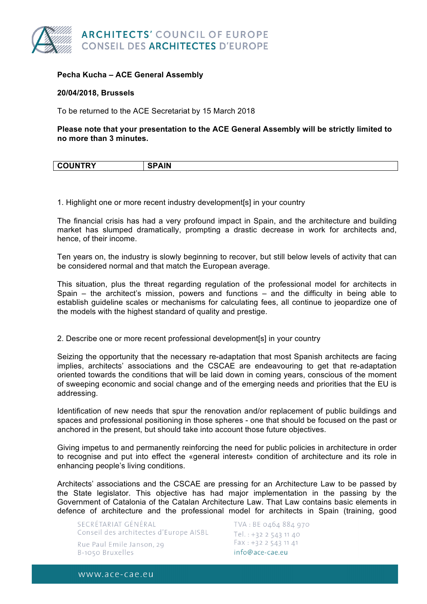

## **Pecha Kucha – ACE General Assembly**

## **20/04/2018, Brussels**

To be returned to the ACE Secretariat by 15 March 2018

**Please note that your presentation to the ACE General Assembly will be strictly limited to no more than 3 minutes.** 

| <b>UNTRY</b><br>$\sim$ | <b>BAILI</b> |
|------------------------|--------------|
|                        |              |

1. Highlight one or more recent industry development[s] in your country

The financial crisis has had a very profound impact in Spain, and the architecture and building market has slumped dramatically, prompting a drastic decrease in work for architects and, hence, of their income.

Ten years on, the industry is slowly beginning to recover, but still below levels of activity that can be considered normal and that match the European average.

This situation, plus the threat regarding regulation of the professional model for architects in Spain – the architect's mission, powers and functions – and the difficulty in being able to establish guideline scales or mechanisms for calculating fees, all continue to jeopardize one of the models with the highest standard of quality and prestige.

2. Describe one or more recent professional development[s] in your country

Seizing the opportunity that the necessary re-adaptation that most Spanish architects are facing implies, architects' associations and the CSCAE are endeavouring to get that re-adaptation oriented towards the conditions that will be laid down in coming years, conscious of the moment of sweeping economic and social change and of the emerging needs and priorities that the EU is addressing.

Identification of new needs that spur the renovation and/or replacement of public buildings and spaces and professional positioning in those spheres - one that should be focused on the past or anchored in the present, but should take into account those future objectives.

Giving impetus to and permanently reinforcing the need for public policies in architecture in order to recognise and put into effect the «general interest» condition of architecture and its role in enhancing people's living conditions.

Architects' associations and the CSCAE are pressing for an Architecture Law to be passed by the State legislator. This objective has had major implementation in the passing by the Government of Catalonia of the Catalan Architecture Law. That Law contains basic elements in defence of architecture and the professional model for architects in Spain (training, good

SECRÉTARIAT GÉNÉRAL Conseil des architectes d'Europe AISBL Rue Paul Emile Janson, 29 B-1050 Bruxelles

TVA: BE 0464 884 970 Tel.: +32 2 543 11 40  $Fax: +32: 2: 543: 11: 41$ info@ace-cae.eu

www.ace-cae.eu